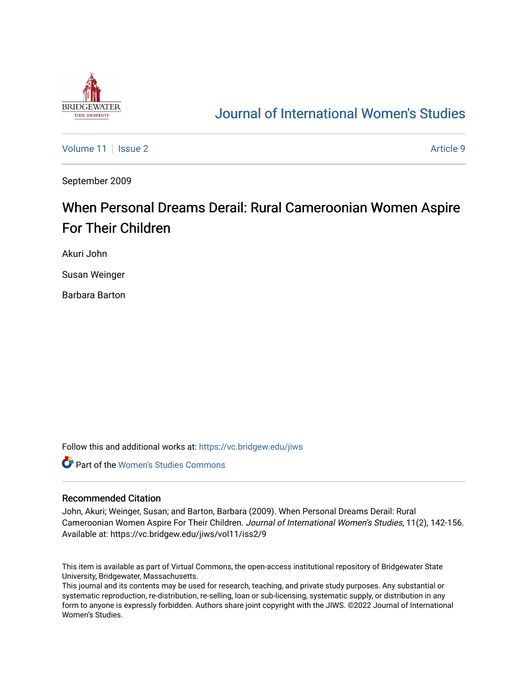

# [Journal of International Women's Studies](https://vc.bridgew.edu/jiws)

[Volume 11](https://vc.bridgew.edu/jiws/vol11) | [Issue 2](https://vc.bridgew.edu/jiws/vol11/iss2) Article 9

September 2009

# When Personal Dreams Derail: Rural Cameroonian Women Aspire For Their Children

Akuri John

Susan Weinger

Barbara Barton

Follow this and additional works at: [https://vc.bridgew.edu/jiws](https://vc.bridgew.edu/jiws?utm_source=vc.bridgew.edu%2Fjiws%2Fvol11%2Fiss2%2F9&utm_medium=PDF&utm_campaign=PDFCoverPages)

**C** Part of the Women's Studies Commons

#### Recommended Citation

John, Akuri; Weinger, Susan; and Barton, Barbara (2009). When Personal Dreams Derail: Rural Cameroonian Women Aspire For Their Children. Journal of International Women's Studies, 11(2), 142-156. Available at: https://vc.bridgew.edu/jiws/vol11/iss2/9

This item is available as part of Virtual Commons, the open-access institutional repository of Bridgewater State University, Bridgewater, Massachusetts.

This journal and its contents may be used for research, teaching, and private study purposes. Any substantial or systematic reproduction, re-distribution, re-selling, loan or sub-licensing, systematic supply, or distribution in any form to anyone is expressly forbidden. Authors share joint copyright with the JIWS. ©2022 Journal of International Women's Studies.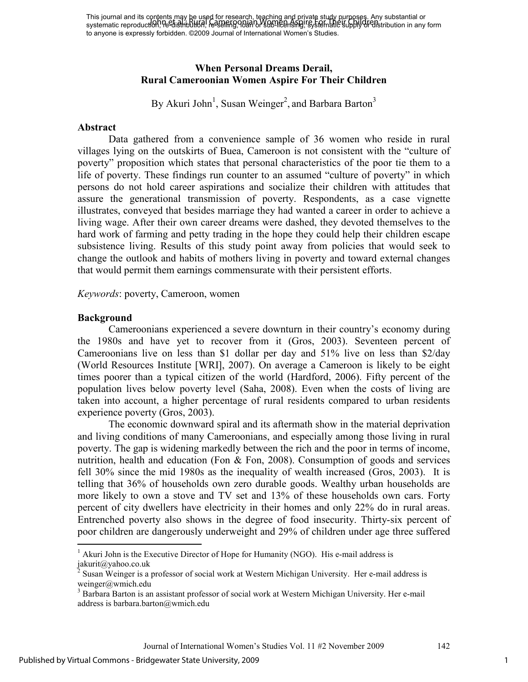This journal and its contents may be used for research, teaching and private study purposes. Any substantial or This journal and its combinisting, Belast Childscardi, Roming and Films Stapp Part Children, substantial or<br>systematic reproduction, re-distribution, re-sparing, 00 an D. Sophie Brisil, resistematic supply or distribution to anyone is expressly forbidden. ©2009 Journal of International Women's Studies.

## **When Personal Dreams Derail, Rural Cameroonian Women Aspire For Their Children**

By Akuri John<sup>1</sup>, Susan Weinger<sup>2</sup>, and Barbara Barton<sup>3</sup>

#### **Abstract**

Data gathered from a convenience sample of 36 women who reside in rural villages lying on the outskirts of Buea, Cameroon is not consistent with the "culture of poverty" proposition which states that personal characteristics of the poor tie them to a life of poverty. These findings run counter to an assumed "culture of poverty" in which persons do not hold career aspirations and socialize their children with attitudes that assure the generational transmission of poverty. Respondents, as a case vignette illustrates, conveyed that besides marriage they had wanted a career in order to achieve a living wage. After their own career dreams were dashed, they devoted themselves to the hard work of farming and petty trading in the hope they could help their children escape subsistence living. Results of this study point away from policies that would seek to change the outlook and habits of mothers living in poverty and toward external changes that would permit them earnings commensurate with their persistent efforts.

*Keywords*: poverty, Cameroon, women

### **Background**

-

Cameroonians experienced a severe downturn in their country's economy during the 1980s and have yet to recover from it (Gros, 2003). Seventeen percent of Cameroonians live on less than \$1 dollar per day and 51% live on less than \$2/day (World Resources Institute [WRI], 2007). On average a Cameroon is likely to be eight times poorer than a typical citizen of the world (Hardford, 2006). Fifty percent of the population lives below poverty level (Saha, 2008). Even when the costs of living are taken into account, a higher percentage of rural residents compared to urban residents experience poverty (Gros, 2003).

The economic downward spiral and its aftermath show in the material deprivation and living conditions of many Cameroonians, and especially among those living in rural poverty. The gap is widening markedly between the rich and the poor in terms of income, nutrition, health and education (Fon & Fon, 2008). Consumption of goods and services fell 30% since the mid 1980s as the inequality of wealth increased (Gros, 2003). It is telling that 36% of households own zero durable goods. Wealthy urban households are more likely to own a stove and TV set and 13% of these households own cars. Forty percent of city dwellers have electricity in their homes and only 22% do in rural areas. Entrenched poverty also shows in the degree of food insecurity. Thirty-six percent of poor children are dangerously underweight and 29% of children under age three suffered

<sup>&</sup>lt;sup>1</sup> Akuri John is the Executive Director of Hope for Humanity (NGO). His e-mail address is jakurit@yahoo.co.uk

<sup>2</sup> Susan Weinger is a professor of social work at Western Michigan University. Her e-mail address is weinger@wmich.edu

<sup>&</sup>lt;sup>3</sup> Barbara Barton is an assistant professor of social work at Western Michigan University. Her e-mail address is barbara.barton@wmich.edu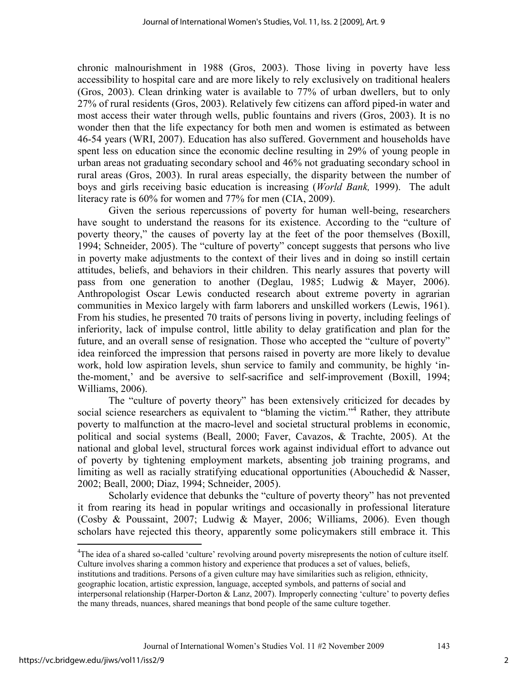chronic malnourishment in 1988 (Gros, 2003). Those living in poverty have less accessibility to hospital care and are more likely to rely exclusively on traditional healers (Gros, 2003). Clean drinking water is available to 77% of urban dwellers, but to only 27% of rural residents (Gros, 2003). Relatively few citizens can afford piped-in water and most access their water through wells, public fountains and rivers (Gros, 2003). It is no wonder then that the life expectancy for both men and women is estimated as between 46-54 years (WRI, 2007). Education has also suffered. Government and households have spent less on education since the economic decline resulting in 29% of young people in urban areas not graduating secondary school and 46% not graduating secondary school in rural areas (Gros, 2003). In rural areas especially, the disparity between the number of boys and girls receiving basic education is increasing (*World Bank,* 1999). The adult literacy rate is 60% for women and 77% for men (CIA, 2009).

Given the serious repercussions of poverty for human well-being, researchers have sought to understand the reasons for its existence. According to the "culture of poverty theory," the causes of poverty lay at the feet of the poor themselves (Boxill, 1994; Schneider, 2005). The "culture of poverty" concept suggests that persons who live in poverty make adjustments to the context of their lives and in doing so instill certain attitudes, beliefs, and behaviors in their children. This nearly assures that poverty will pass from one generation to another (Deglau, 1985; Ludwig & Mayer, 2006). Anthropologist Oscar Lewis conducted research about extreme poverty in agrarian communities in Mexico largely with farm laborers and unskilled workers (Lewis, 1961). From his studies, he presented 70 traits of persons living in poverty, including feelings of inferiority, lack of impulse control, little ability to delay gratification and plan for the future, and an overall sense of resignation. Those who accepted the "culture of poverty" idea reinforced the impression that persons raised in poverty are more likely to devalue work, hold low aspiration levels, shun service to family and community, be highly 'inthe-moment,' and be aversive to self-sacrifice and self-improvement (Boxill, 1994; Williams, 2006).

The "culture of poverty theory" has been extensively criticized for decades by social science researchers as equivalent to "blaming the victim."<sup>4</sup> Rather, they attribute poverty to malfunction at the macro-level and societal structural problems in economic, political and social systems (Beall, 2000; Faver, Cavazos, & Trachte, 2005). At the national and global level, structural forces work against individual effort to advance out of poverty by tightening employment markets, absenting job training programs, and limiting as well as racially stratifying educational opportunities (Abouchedid & Nasser, 2002; Beall, 2000; Diaz, 1994; Schneider, 2005).

Scholarly evidence that debunks the "culture of poverty theory" has not prevented it from rearing its head in popular writings and occasionally in professional literature (Cosby & Poussaint, 2007; Ludwig & Mayer, 2006; Williams, 2006). Even though scholars have rejected this theory, apparently some policymakers still embrace it. This

institutions and traditions. Persons of a given culture may have similarities such as religion, ethnicity,

2

 $\overline{a}$ <sup>4</sup>The idea of a shared so-called 'culture' revolving around poverty misrepresents the notion of culture itself. Culture involves sharing a common history and experience that produces a set of values, beliefs,

geographic location, artistic expression, language, accepted symbols, and patterns of social and

interpersonal relationship (Harper-Dorton & Lanz, 2007). Improperly connecting 'culture' to poverty defies the many threads, nuances, shared meanings that bond people of the same culture together.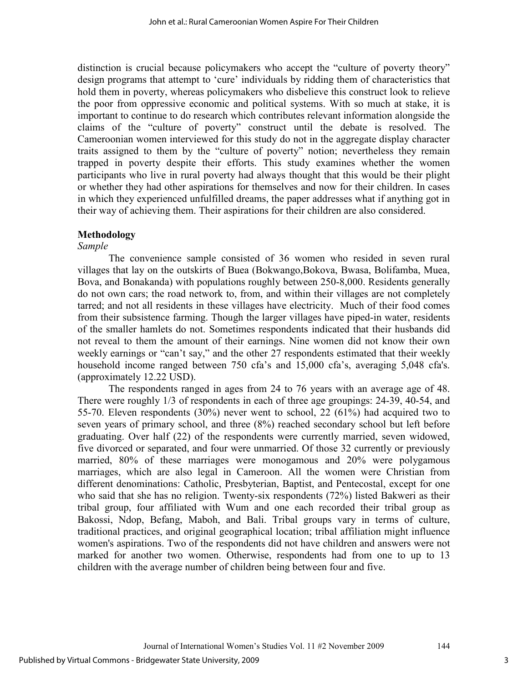distinction is crucial because policymakers who accept the "culture of poverty theory" design programs that attempt to 'cure' individuals by ridding them of characteristics that hold them in poverty, whereas policymakers who disbelieve this construct look to relieve the poor from oppressive economic and political systems. With so much at stake, it is important to continue to do research which contributes relevant information alongside the claims of the "culture of poverty" construct until the debate is resolved. The Cameroonian women interviewed for this study do not in the aggregate display character traits assigned to them by the "culture of poverty" notion; nevertheless they remain trapped in poverty despite their efforts. This study examines whether the women participants who live in rural poverty had always thought that this would be their plight or whether they had other aspirations for themselves and now for their children. In cases in which they experienced unfulfilled dreams, the paper addresses what if anything got in their way of achieving them. Their aspirations for their children are also considered.

# **Methodology**

## *Sample*

The convenience sample consisted of 36 women who resided in seven rural villages that lay on the outskirts of Buea (Bokwango,Bokova, Bwasa, Bolifamba, Muea, Bova, and Bonakanda) with populations roughly between 250-8,000. Residents generally do not own cars; the road network to, from, and within their villages are not completely tarred; and not all residents in these villages have electricity. Much of their food comes from their subsistence farming. Though the larger villages have piped-in water, residents of the smaller hamlets do not. Sometimes respondents indicated that their husbands did not reveal to them the amount of their earnings. Nine women did not know their own weekly earnings or "can't say," and the other 27 respondents estimated that their weekly household income ranged between 750 cfa's and 15,000 cfa's, averaging 5,048 cfa's. (approximately 12.22 USD).

 The respondents ranged in ages from 24 to 76 years with an average age of 48. There were roughly 1/3 of respondents in each of three age groupings: 24-39, 40-54, and 55-70. Eleven respondents (30%) never went to school, 22 (61%) had acquired two to seven years of primary school, and three (8%) reached secondary school but left before graduating. Over half (22) of the respondents were currently married, seven widowed, five divorced or separated, and four were unmarried. Of those 32 currently or previously married, 80% of these marriages were monogamous and 20% were polygamous marriages, which are also legal in Cameroon. All the women were Christian from different denominations: Catholic, Presbyterian, Baptist, and Pentecostal, except for one who said that she has no religion. Twenty-six respondents (72%) listed Bakweri as their tribal group, four affiliated with Wum and one each recorded their tribal group as Bakossi, Ndop, Befang, Maboh, and Bali. Tribal groups vary in terms of culture, traditional practices, and original geographical location; tribal affiliation might influence women's aspirations. Two of the respondents did not have children and answers were not marked for another two women. Otherwise, respondents had from one to up to 13 children with the average number of children being between four and five.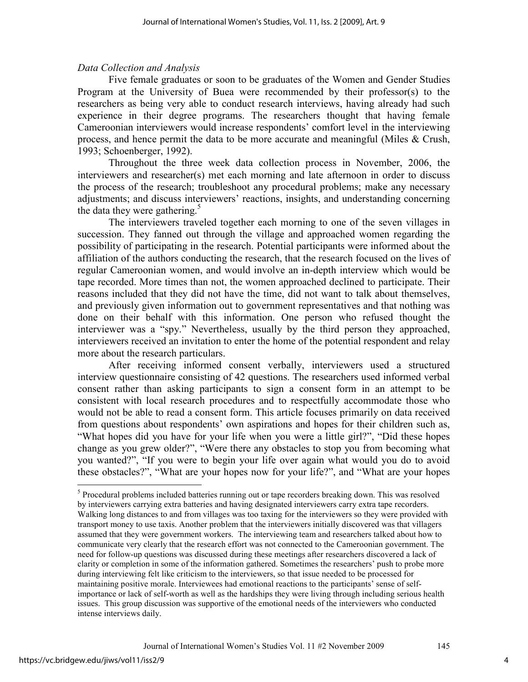## *Data Collection and Analysis*

Five female graduates or soon to be graduates of the Women and Gender Studies Program at the University of Buea were recommended by their professor(s) to the researchers as being very able to conduct research interviews, having already had such experience in their degree programs. The researchers thought that having female Cameroonian interviewers would increase respondents' comfort level in the interviewing process, and hence permit the data to be more accurate and meaningful (Miles & Crush, 1993; Schoenberger, 1992).

 Throughout the three week data collection process in November, 2006, the interviewers and researcher(s) met each morning and late afternoon in order to discuss the process of the research; troubleshoot any procedural problems; make any necessary adjustments; and discuss interviewers' reactions, insights, and understanding concerning the data they were gathering.<sup>5</sup>

 The interviewers traveled together each morning to one of the seven villages in succession. They fanned out through the village and approached women regarding the possibility of participating in the research. Potential participants were informed about the affiliation of the authors conducting the research, that the research focused on the lives of regular Cameroonian women, and would involve an in-depth interview which would be tape recorded. More times than not, the women approached declined to participate. Their reasons included that they did not have the time, did not want to talk about themselves, and previously given information out to government representatives and that nothing was done on their behalf with this information. One person who refused thought the interviewer was a "spy." Nevertheless, usually by the third person they approached, interviewers received an invitation to enter the home of the potential respondent and relay more about the research particulars.

 After receiving informed consent verbally, interviewers used a structured interview questionnaire consisting of 42 questions. The researchers used informed verbal consent rather than asking participants to sign a consent form in an attempt to be consistent with local research procedures and to respectfully accommodate those who would not be able to read a consent form. This article focuses primarily on data received from questions about respondents' own aspirations and hopes for their children such as, "What hopes did you have for your life when you were a little girl?", "Did these hopes change as you grew older?", "Were there any obstacles to stop you from becoming what you wanted?", "If you were to begin your life over again what would you do to avoid these obstacles?", "What are your hopes now for your life?", and "What are your hopes

-

<sup>&</sup>lt;sup>5</sup> Procedural problems included batteries running out or tape recorders breaking down. This was resolved by interviewers carrying extra batteries and having designated interviewers carry extra tape recorders. Walking long distances to and from villages was too taxing for the interviewers so they were provided with transport money to use taxis. Another problem that the interviewers initially discovered was that villagers assumed that they were government workers. The interviewing team and researchers talked about how to communicate very clearly that the research effort was not connected to the Cameroonian government. The need for follow-up questions was discussed during these meetings after researchers discovered a lack of clarity or completion in some of the information gathered. Sometimes the researchers' push to probe more during interviewing felt like criticism to the interviewers, so that issue needed to be processed for maintaining positive morale. Interviewees had emotional reactions to the participants' sense of selfimportance or lack of self-worth as well as the hardships they were living through including serious health issues. This group discussion was supportive of the emotional needs of the interviewers who conducted intense interviews daily.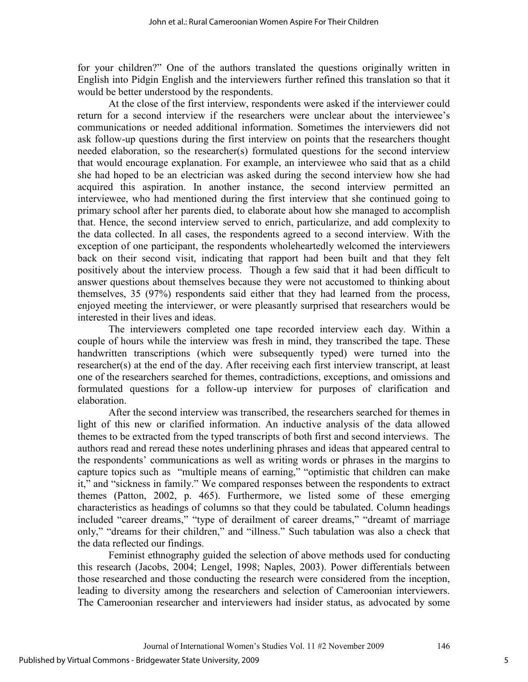for your children?" One of the authors translated the questions originally written in English into Pidgin English and the interviewers further refined this translation so that it would be better understood by the respondents.

 At the close of the first interview, respondents were asked if the interviewer could return for a second interview if the researchers were unclear about the interviewee's communications or needed additional information. Sometimes the interviewers did not ask follow-up questions during the first interview on points that the researchers thought needed elaboration, so the researcher(s) formulated questions for the second interview that would encourage explanation. For example, an interviewee who said that as a child she had hoped to be an electrician was asked during the second interview how she had acquired this aspiration. In another instance, the second interview permitted an interviewee, who had mentioned during the first interview that she continued going to primary school after her parents died, to elaborate about how she managed to accomplish that. Hence, the second interview served to enrich, particularize, and add complexity to the data collected. In all cases, the respondents agreed to a second interview. With the exception of one participant, the respondents wholeheartedly welcomed the interviewers back on their second visit, indicating that rapport had been built and that they felt positively about the interview process. Though a few said that it had been difficult to answer questions about themselves because they were not accustomed to thinking about themselves, 35 (97%) respondents said either that they had learned from the process, enjoyed meeting the interviewer, or were pleasantly surprised that researchers would be interested in their lives and ideas.

 The interviewers completed one tape recorded interview each day. Within a couple of hours while the interview was fresh in mind, they transcribed the tape. These handwritten transcriptions (which were subsequently typed) were turned into the researcher(s) at the end of the day. After receiving each first interview transcript, at least one of the researchers searched for themes, contradictions, exceptions, and omissions and formulated questions for a follow-up interview for purposes of clarification and elaboration.

 After the second interview was transcribed, the researchers searched for themes in light of this new or clarified information. An inductive analysis of the data allowed themes to be extracted from the typed transcripts of both first and second interviews. The authors read and reread these notes underlining phrases and ideas that appeared central to the respondents' communications as well as writing words or phrases in the margins to capture topics such as "multiple means of earning," "optimistic that children can make it," and "sickness in family." We compared responses between the respondents to extract themes (Patton, 2002, p. 465). Furthermore, we listed some of these emerging characteristics as headings of columns so that they could be tabulated. Column headings included "career dreams," "type of derailment of career dreams," "dreamt of marriage only," "dreams for their children," and "illness." Such tabulation was also a check that the data reflected our findings.

 Feminist ethnography guided the selection of above methods used for conducting this research (Jacobs, 2004; Lengel, 1998; Naples, 2003). Power differentials between those researched and those conducting the research were considered from the inception, leading to diversity among the researchers and selection of Cameroonian interviewers. The Cameroonian researcher and interviewers had insider status, as advocated by some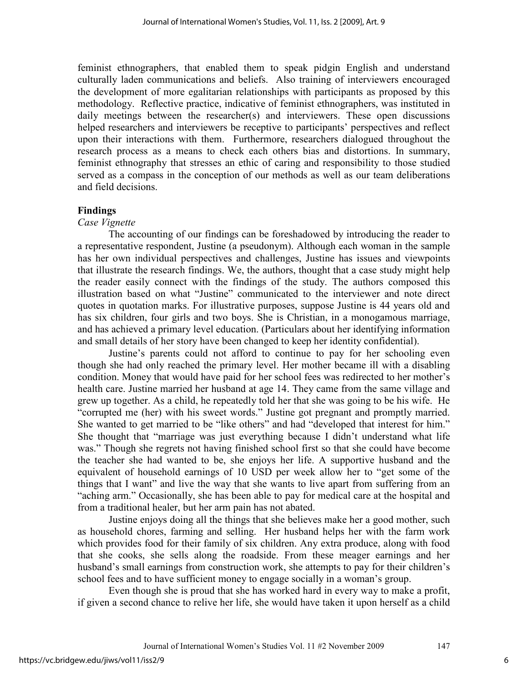feminist ethnographers, that enabled them to speak pidgin English and understand culturally laden communications and beliefs. Also training of interviewers encouraged the development of more egalitarian relationships with participants as proposed by this methodology. Reflective practice, indicative of feminist ethnographers, was instituted in daily meetings between the researcher(s) and interviewers. These open discussions helped researchers and interviewers be receptive to participants' perspectives and reflect upon their interactions with them. Furthermore, researchers dialogued throughout the research process as a means to check each others bias and distortions. In summary, feminist ethnography that stresses an ethic of caring and responsibility to those studied served as a compass in the conception of our methods as well as our team deliberations and field decisions.

## **Findings**

#### *Case Vignette*

The accounting of our findings can be foreshadowed by introducing the reader to a representative respondent, Justine (a pseudonym). Although each woman in the sample has her own individual perspectives and challenges, Justine has issues and viewpoints that illustrate the research findings. We, the authors, thought that a case study might help the reader easily connect with the findings of the study. The authors composed this illustration based on what "Justine" communicated to the interviewer and note direct quotes in quotation marks. For illustrative purposes, suppose Justine is 44 years old and has six children, four girls and two boys. She is Christian, in a monogamous marriage, and has achieved a primary level education. (Particulars about her identifying information and small details of her story have been changed to keep her identity confidential).

 Justine's parents could not afford to continue to pay for her schooling even though she had only reached the primary level. Her mother became ill with a disabling condition. Money that would have paid for her school fees was redirected to her mother's health care. Justine married her husband at age 14. They came from the same village and grew up together. As a child, he repeatedly told her that she was going to be his wife. He "corrupted me (her) with his sweet words." Justine got pregnant and promptly married. She wanted to get married to be "like others" and had "developed that interest for him." She thought that "marriage was just everything because I didn't understand what life was." Though she regrets not having finished school first so that she could have become the teacher she had wanted to be, she enjoys her life. A supportive husband and the equivalent of household earnings of 10 USD per week allow her to "get some of the things that I want" and live the way that she wants to live apart from suffering from an "aching arm." Occasionally, she has been able to pay for medical care at the hospital and from a traditional healer, but her arm pain has not abated.

Justine enjoys doing all the things that she believes make her a good mother, such as household chores, farming and selling. Her husband helps her with the farm work which provides food for their family of six children. Any extra produce, along with food that she cooks, she sells along the roadside. From these meager earnings and her husband's small earnings from construction work, she attempts to pay for their children's school fees and to have sufficient money to engage socially in a woman's group.

Even though she is proud that she has worked hard in every way to make a profit, if given a second chance to relive her life, she would have taken it upon herself as a child

6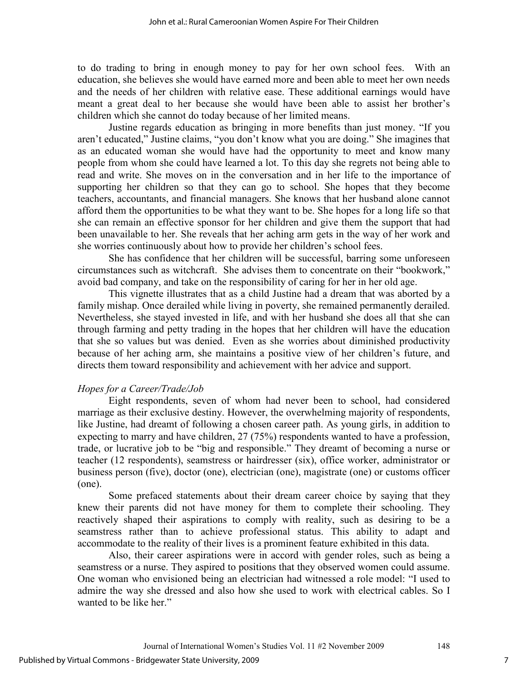to do trading to bring in enough money to pay for her own school fees. With an education, she believes she would have earned more and been able to meet her own needs and the needs of her children with relative ease. These additional earnings would have meant a great deal to her because she would have been able to assist her brother's children which she cannot do today because of her limited means.

Justine regards education as bringing in more benefits than just money. "If you aren't educated," Justine claims, "you don't know what you are doing." She imagines that as an educated woman she would have had the opportunity to meet and know many people from whom she could have learned a lot. To this day she regrets not being able to read and write. She moves on in the conversation and in her life to the importance of supporting her children so that they can go to school. She hopes that they become teachers, accountants, and financial managers. She knows that her husband alone cannot afford them the opportunities to be what they want to be. She hopes for a long life so that she can remain an effective sponsor for her children and give them the support that had been unavailable to her. She reveals that her aching arm gets in the way of her work and she worries continuously about how to provide her children's school fees.

She has confidence that her children will be successful, barring some unforeseen circumstances such as witchcraft. She advises them to concentrate on their "bookwork," avoid bad company, and take on the responsibility of caring for her in her old age.

This vignette illustrates that as a child Justine had a dream that was aborted by a family mishap. Once derailed while living in poverty, she remained permanently derailed. Nevertheless, she stayed invested in life, and with her husband she does all that she can through farming and petty trading in the hopes that her children will have the education that she so values but was denied. Even as she worries about diminished productivity because of her aching arm, she maintains a positive view of her children's future, and directs them toward responsibility and achievement with her advice and support.

#### *Hopes for a Career/Trade/Job*

Eight respondents, seven of whom had never been to school, had considered marriage as their exclusive destiny. However, the overwhelming majority of respondents, like Justine, had dreamt of following a chosen career path. As young girls, in addition to expecting to marry and have children, 27 (75%) respondents wanted to have a profession, trade, or lucrative job to be "big and responsible." They dreamt of becoming a nurse or teacher (12 respondents), seamstress or hairdresser (six), office worker, administrator or business person (five), doctor (one), electrician (one), magistrate (one) or customs officer (one).

 Some prefaced statements about their dream career choice by saying that they knew their parents did not have money for them to complete their schooling. They reactively shaped their aspirations to comply with reality, such as desiring to be a seamstress rather than to achieve professional status. This ability to adapt and accommodate to the reality of their lives is a prominent feature exhibited in this data.

 Also, their career aspirations were in accord with gender roles, such as being a seamstress or a nurse. They aspired to positions that they observed women could assume. One woman who envisioned being an electrician had witnessed a role model: "I used to admire the way she dressed and also how she used to work with electrical cables. So I wanted to be like her."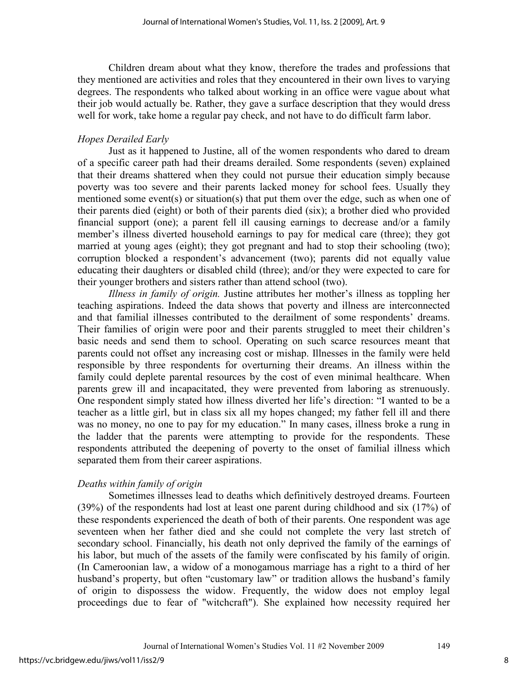Children dream about what they know, therefore the trades and professions that they mentioned are activities and roles that they encountered in their own lives to varying degrees. The respondents who talked about working in an office were vague about what their job would actually be. Rather, they gave a surface description that they would dress well for work, take home a regular pay check, and not have to do difficult farm labor.

### *Hopes Derailed Early*

Just as it happened to Justine, all of the women respondents who dared to dream of a specific career path had their dreams derailed. Some respondents (seven) explained that their dreams shattered when they could not pursue their education simply because poverty was too severe and their parents lacked money for school fees. Usually they mentioned some event(s) or situation(s) that put them over the edge, such as when one of their parents died (eight) or both of their parents died (six); a brother died who provided financial support (one); a parent fell ill causing earnings to decrease and/or a family member's illness diverted household earnings to pay for medical care (three); they got married at young ages (eight); they got pregnant and had to stop their schooling (two); corruption blocked a respondent's advancement (two); parents did not equally value educating their daughters or disabled child (three); and/or they were expected to care for their younger brothers and sisters rather than attend school (two).

*Illness in family of origin.* Justine attributes her mother's illness as toppling her teaching aspirations. Indeed the data shows that poverty and illness are interconnected and that familial illnesses contributed to the derailment of some respondents' dreams. Their families of origin were poor and their parents struggled to meet their children's basic needs and send them to school. Operating on such scarce resources meant that parents could not offset any increasing cost or mishap. Illnesses in the family were held responsible by three respondents for overturning their dreams. An illness within the family could deplete parental resources by the cost of even minimal healthcare. When parents grew ill and incapacitated, they were prevented from laboring as strenuously. One respondent simply stated how illness diverted her life's direction: "I wanted to be a teacher as a little girl, but in class six all my hopes changed; my father fell ill and there was no money, no one to pay for my education." In many cases, illness broke a rung in the ladder that the parents were attempting to provide for the respondents. These respondents attributed the deepening of poverty to the onset of familial illness which separated them from their career aspirations.

#### *Deaths within family of origin*

Sometimes illnesses lead to deaths which definitively destroyed dreams. Fourteen (39%) of the respondents had lost at least one parent during childhood and six (17%) of these respondents experienced the death of both of their parents. One respondent was age seventeen when her father died and she could not complete the very last stretch of secondary school. Financially, his death not only deprived the family of the earnings of his labor, but much of the assets of the family were confiscated by his family of origin. (In Cameroonian law, a widow of a monogamous marriage has a right to a third of her husband's property, but often "customary law" or tradition allows the husband's family of origin to dispossess the widow. Frequently, the widow does not employ legal proceedings due to fear of "witchcraft"). She explained how necessity required her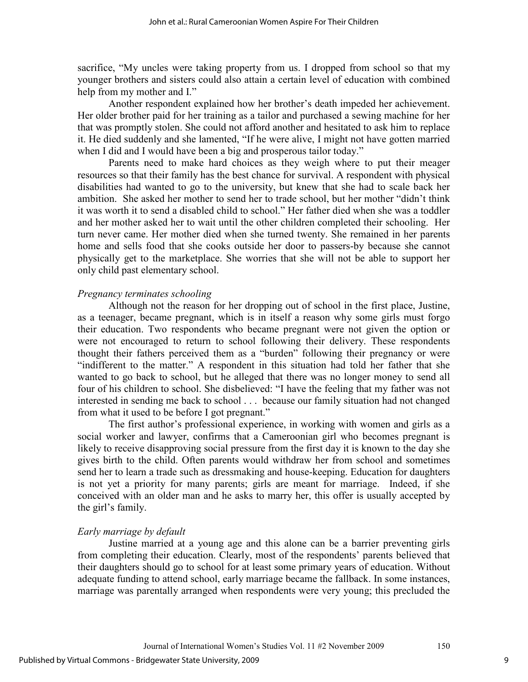sacrifice, "My uncles were taking property from us. I dropped from school so that my younger brothers and sisters could also attain a certain level of education with combined help from my mother and I."

 Another respondent explained how her brother's death impeded her achievement. Her older brother paid for her training as a tailor and purchased a sewing machine for her that was promptly stolen. She could not afford another and hesitated to ask him to replace it. He died suddenly and she lamented, "If he were alive, I might not have gotten married when I did and I would have been a big and prosperous tailor today."

 Parents need to make hard choices as they weigh where to put their meager resources so that their family has the best chance for survival. A respondent with physical disabilities had wanted to go to the university, but knew that she had to scale back her ambition. She asked her mother to send her to trade school, but her mother "didn't think it was worth it to send a disabled child to school." Her father died when she was a toddler and her mother asked her to wait until the other children completed their schooling. Her turn never came. Her mother died when she turned twenty. She remained in her parents home and sells food that she cooks outside her door to passers-by because she cannot physically get to the marketplace. She worries that she will not be able to support her only child past elementary school.

#### *Pregnancy terminates schooling*

Although not the reason for her dropping out of school in the first place, Justine, as a teenager, became pregnant, which is in itself a reason why some girls must forgo their education. Two respondents who became pregnant were not given the option or were not encouraged to return to school following their delivery. These respondents thought their fathers perceived them as a "burden" following their pregnancy or were "indifferent to the matter." A respondent in this situation had told her father that she wanted to go back to school, but he alleged that there was no longer money to send all four of his children to school. She disbelieved: "I have the feeling that my father was not interested in sending me back to school . . . because our family situation had not changed from what it used to be before I got pregnant."

 The first author's professional experience, in working with women and girls as a social worker and lawyer, confirms that a Cameroonian girl who becomes pregnant is likely to receive disapproving social pressure from the first day it is known to the day she gives birth to the child. Often parents would withdraw her from school and sometimes send her to learn a trade such as dressmaking and house-keeping. Education for daughters is not yet a priority for many parents; girls are meant for marriage. Indeed, if she conceived with an older man and he asks to marry her, this offer is usually accepted by the girl's family.

#### *Early marriage by default*

Justine married at a young age and this alone can be a barrier preventing girls from completing their education. Clearly, most of the respondents' parents believed that their daughters should go to school for at least some primary years of education. Without adequate funding to attend school, early marriage became the fallback. In some instances, marriage was parentally arranged when respondents were very young; this precluded the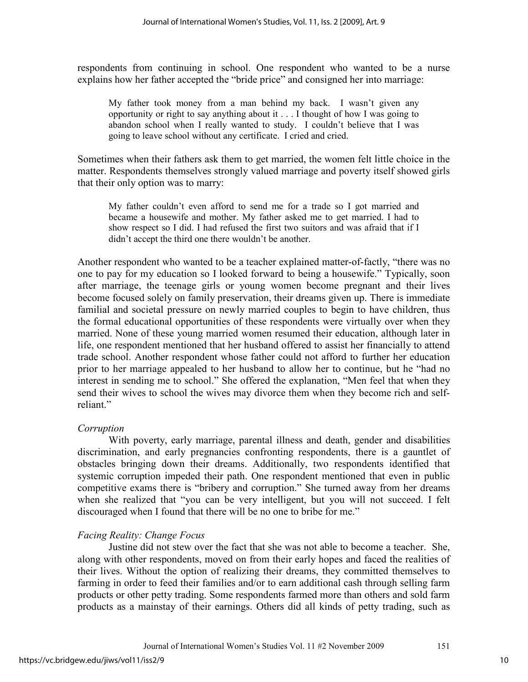respondents from continuing in school. One respondent who wanted to be a nurse explains how her father accepted the "bride price" and consigned her into marriage:

My father took money from a man behind my back. I wasn't given any opportunity or right to say anything about it . . . I thought of how I was going to abandon school when I really wanted to study. I couldn't believe that I was going to leave school without any certificate. I cried and cried.

Sometimes when their fathers ask them to get married, the women felt little choice in the matter. Respondents themselves strongly valued marriage and poverty itself showed girls that their only option was to marry:

My father couldn't even afford to send me for a trade so I got married and became a housewife and mother. My father asked me to get married. I had to show respect so I did. I had refused the first two suitors and was afraid that if I didn't accept the third one there wouldn't be another.

Another respondent who wanted to be a teacher explained matter-of-factly, "there was no one to pay for my education so I looked forward to being a housewife." Typically, soon after marriage, the teenage girls or young women become pregnant and their lives become focused solely on family preservation, their dreams given up. There is immediate familial and societal pressure on newly married couples to begin to have children, thus the formal educational opportunities of these respondents were virtually over when they married. None of these young married women resumed their education, although later in life, one respondent mentioned that her husband offered to assist her financially to attend trade school. Another respondent whose father could not afford to further her education prior to her marriage appealed to her husband to allow her to continue, but he "had no interest in sending me to school." She offered the explanation, "Men feel that when they send their wives to school the wives may divorce them when they become rich and selfreliant."

# *Corruption*

With poverty, early marriage, parental illness and death, gender and disabilities discrimination, and early pregnancies confronting respondents, there is a gauntlet of obstacles bringing down their dreams. Additionally, two respondents identified that systemic corruption impeded their path. One respondent mentioned that even in public competitive exams there is "bribery and corruption." She turned away from her dreams when she realized that "you can be very intelligent, but you will not succeed. I felt discouraged when I found that there will be no one to bribe for me."

# *Facing Reality: Change Focus*

Justine did not stew over the fact that she was not able to become a teacher. She, along with other respondents, moved on from their early hopes and faced the realities of their lives. Without the option of realizing their dreams, they committed themselves to farming in order to feed their families and/or to earn additional cash through selling farm products or other petty trading. Some respondents farmed more than others and sold farm products as a mainstay of their earnings. Others did all kinds of petty trading, such as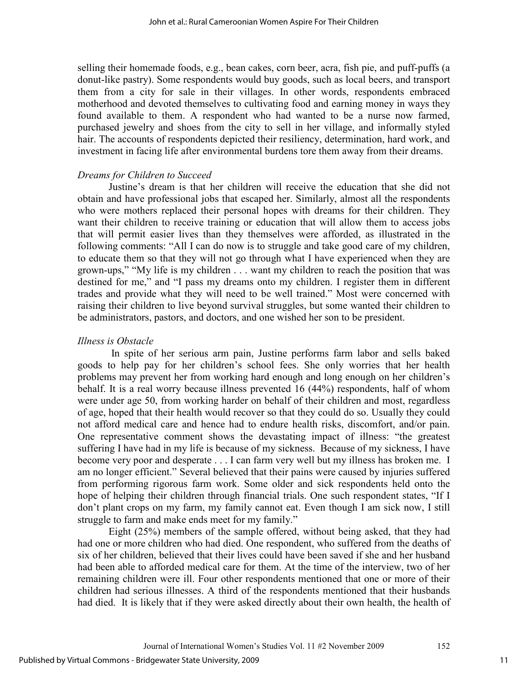selling their homemade foods, e.g., bean cakes, corn beer, acra, fish pie, and puff-puffs (a donut-like pastry). Some respondents would buy goods, such as local beers, and transport them from a city for sale in their villages. In other words, respondents embraced motherhood and devoted themselves to cultivating food and earning money in ways they found available to them. A respondent who had wanted to be a nurse now farmed, purchased jewelry and shoes from the city to sell in her village, and informally styled hair. The accounts of respondents depicted their resiliency, determination, hard work, and investment in facing life after environmental burdens tore them away from their dreams.

## *Dreams for Children to Succeed*

Justine's dream is that her children will receive the education that she did not obtain and have professional jobs that escaped her. Similarly, almost all the respondents who were mothers replaced their personal hopes with dreams for their children. They want their children to receive training or education that will allow them to access jobs that will permit easier lives than they themselves were afforded, as illustrated in the following comments: "All I can do now is to struggle and take good care of my children, to educate them so that they will not go through what I have experienced when they are grown-ups," "My life is my children . . . want my children to reach the position that was destined for me," and "I pass my dreams onto my children. I register them in different trades and provide what they will need to be well trained." Most were concerned with raising their children to live beyond survival struggles, but some wanted their children to be administrators, pastors, and doctors, and one wished her son to be president.

## *Illness is Obstacle*

In spite of her serious arm pain, Justine performs farm labor and sells baked goods to help pay for her children's school fees. She only worries that her health problems may prevent her from working hard enough and long enough on her children's behalf. It is a real worry because illness prevented 16 (44%) respondents, half of whom were under age 50, from working harder on behalf of their children and most, regardless of age, hoped that their health would recover so that they could do so. Usually they could not afford medical care and hence had to endure health risks, discomfort, and/or pain. One representative comment shows the devastating impact of illness: "the greatest suffering I have had in my life is because of my sickness. Because of my sickness, I have become very poor and desperate . . . I can farm very well but my illness has broken me. I am no longer efficient." Several believed that their pains were caused by injuries suffered from performing rigorous farm work. Some older and sick respondents held onto the hope of helping their children through financial trials. One such respondent states, "If I don't plant crops on my farm, my family cannot eat. Even though I am sick now, I still struggle to farm and make ends meet for my family."

 Eight (25%) members of the sample offered, without being asked, that they had had one or more children who had died. One respondent, who suffered from the deaths of six of her children, believed that their lives could have been saved if she and her husband had been able to afforded medical care for them. At the time of the interview, two of her remaining children were ill. Four other respondents mentioned that one or more of their children had serious illnesses. A third of the respondents mentioned that their husbands had died. It is likely that if they were asked directly about their own health, the health of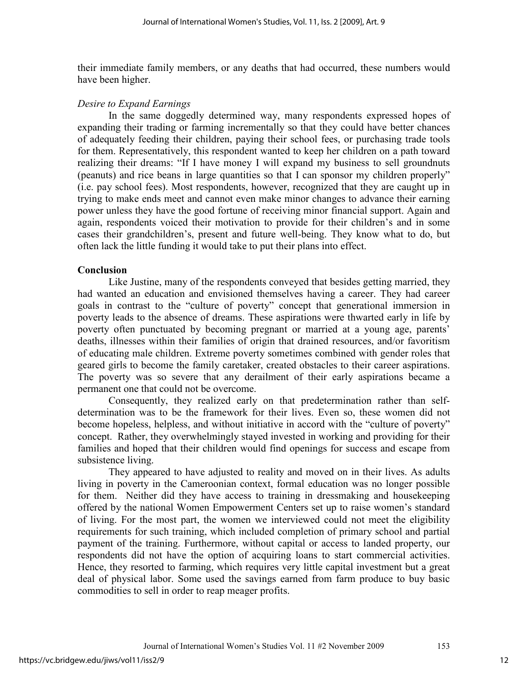their immediate family members, or any deaths that had occurred, these numbers would have been higher.

#### *Desire to Expand Earnings*

In the same doggedly determined way, many respondents expressed hopes of expanding their trading or farming incrementally so that they could have better chances of adequately feeding their children, paying their school fees, or purchasing trade tools for them. Representatively, this respondent wanted to keep her children on a path toward realizing their dreams: "If I have money I will expand my business to sell groundnuts (peanuts) and rice beans in large quantities so that I can sponsor my children properly" (i.e. pay school fees). Most respondents, however, recognized that they are caught up in trying to make ends meet and cannot even make minor changes to advance their earning power unless they have the good fortune of receiving minor financial support. Again and again, respondents voiced their motivation to provide for their children's and in some cases their grandchildren's, present and future well-being. They know what to do, but often lack the little funding it would take to put their plans into effect.

# **Conclusion**

 Like Justine, many of the respondents conveyed that besides getting married, they had wanted an education and envisioned themselves having a career. They had career goals in contrast to the "culture of poverty" concept that generational immersion in poverty leads to the absence of dreams. These aspirations were thwarted early in life by poverty often punctuated by becoming pregnant or married at a young age, parents' deaths, illnesses within their families of origin that drained resources, and/or favoritism of educating male children. Extreme poverty sometimes combined with gender roles that geared girls to become the family caretaker, created obstacles to their career aspirations. The poverty was so severe that any derailment of their early aspirations became a permanent one that could not be overcome.

 Consequently, they realized early on that predetermination rather than selfdetermination was to be the framework for their lives. Even so, these women did not become hopeless, helpless, and without initiative in accord with the "culture of poverty" concept. Rather, they overwhelmingly stayed invested in working and providing for their families and hoped that their children would find openings for success and escape from subsistence living.

 They appeared to have adjusted to reality and moved on in their lives. As adults living in poverty in the Cameroonian context, formal education was no longer possible for them. Neither did they have access to training in dressmaking and housekeeping offered by the national Women Empowerment Centers set up to raise women's standard of living. For the most part, the women we interviewed could not meet the eligibility requirements for such training, which included completion of primary school and partial payment of the training. Furthermore, without capital or access to landed property, our respondents did not have the option of acquiring loans to start commercial activities. Hence, they resorted to farming, which requires very little capital investment but a great deal of physical labor. Some used the savings earned from farm produce to buy basic commodities to sell in order to reap meager profits.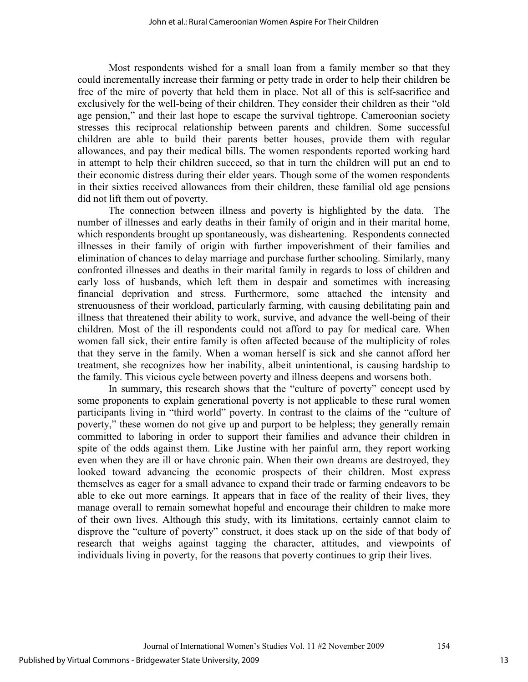Most respondents wished for a small loan from a family member so that they could incrementally increase their farming or petty trade in order to help their children be free of the mire of poverty that held them in place. Not all of this is self-sacrifice and exclusively for the well-being of their children. They consider their children as their "old age pension," and their last hope to escape the survival tightrope. Cameroonian society stresses this reciprocal relationship between parents and children. Some successful children are able to build their parents better houses, provide them with regular allowances, and pay their medical bills. The women respondents reported working hard in attempt to help their children succeed, so that in turn the children will put an end to their economic distress during their elder years. Though some of the women respondents in their sixties received allowances from their children, these familial old age pensions did not lift them out of poverty.

 The connection between illness and poverty is highlighted by the data. The number of illnesses and early deaths in their family of origin and in their marital home, which respondents brought up spontaneously, was disheartening. Respondents connected illnesses in their family of origin with further impoverishment of their families and elimination of chances to delay marriage and purchase further schooling. Similarly, many confronted illnesses and deaths in their marital family in regards to loss of children and early loss of husbands, which left them in despair and sometimes with increasing financial deprivation and stress. Furthermore, some attached the intensity and strenuousness of their workload, particularly farming, with causing debilitating pain and illness that threatened their ability to work, survive, and advance the well-being of their children. Most of the ill respondents could not afford to pay for medical care. When women fall sick, their entire family is often affected because of the multiplicity of roles that they serve in the family. When a woman herself is sick and she cannot afford her treatment, she recognizes how her inability, albeit unintentional, is causing hardship to the family. This vicious cycle between poverty and illness deepens and worsens both.

In summary, this research shows that the "culture of poverty" concept used by some proponents to explain generational poverty is not applicable to these rural women participants living in "third world" poverty. In contrast to the claims of the "culture of poverty," these women do not give up and purport to be helpless; they generally remain committed to laboring in order to support their families and advance their children in spite of the odds against them. Like Justine with her painful arm, they report working even when they are ill or have chronic pain. When their own dreams are destroyed, they looked toward advancing the economic prospects of their children. Most express themselves as eager for a small advance to expand their trade or farming endeavors to be able to eke out more earnings. It appears that in face of the reality of their lives, they manage overall to remain somewhat hopeful and encourage their children to make more of their own lives. Although this study, with its limitations, certainly cannot claim to disprove the "culture of poverty" construct, it does stack up on the side of that body of research that weighs against tagging the character, attitudes, and viewpoints of individuals living in poverty, for the reasons that poverty continues to grip their lives.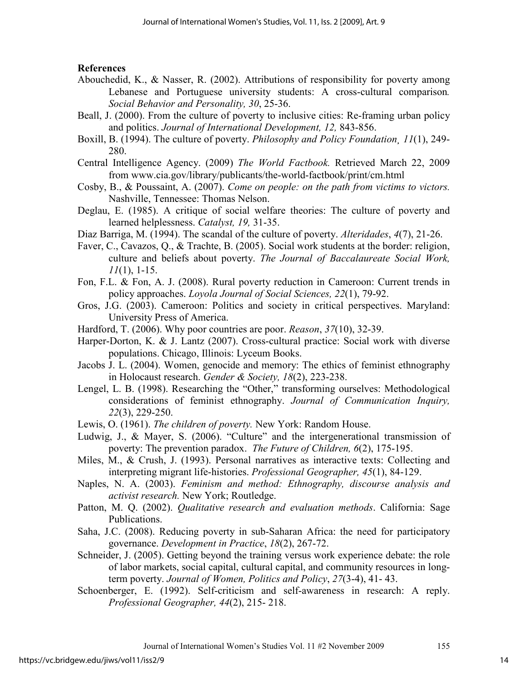# **References**

- Abouchedid, K., & Nasser, R. (2002). Attributions of responsibility for poverty among Lebanese and Portuguese university students: A cross-cultural comparison*. Social Behavior and Personality, 30*, 25-36.
- Beall, J. (2000). From the culture of poverty to inclusive cities: Re-framing urban policy and politics. *Journal of International Development, 12,* 843-856.
- Boxill, B. (1994). The culture of poverty. *Philosophy and Policy Foundation¸ 11*(1), 249- 280.
- Central Intelligence Agency. (2009) *The World Factbook.* Retrieved March 22, 2009 from www.cia.gov/library/publicants/the-world-factbook/print/cm.html
- Cosby, B., & Poussaint, A. (2007). *Come on people: on the path from victims to victors.* Nashville, Tennessee: Thomas Nelson.
- Deglau, E. (1985). A critique of social welfare theories: The culture of poverty and learned helplessness. *Catalyst, 19,* 31-35.
- Diaz Barriga, M. (1994). The scandal of the culture of poverty. *Alteridades*, *4*(7), 21-26.
- Faver, C., Cavazos, Q., & Trachte, B. (2005). Social work students at the border: religion, culture and beliefs about poverty. *The Journal of Baccalaureate Social Work, 11*(1), 1-15.
- Fon, F.L. & Fon, A. J. (2008). Rural poverty reduction in Cameroon: Current trends in policy approaches. *Loyola Journal of Social Sciences, 22*(1), 79-92.
- Gros, J.G. (2003). Cameroon: Politics and society in critical perspectives. Maryland: University Press of America.
- Hardford, T. (2006). Why poor countries are poor. *Reason*, *37*(10), 32-39.
- Harper-Dorton, K. & J. Lantz (2007). Cross-cultural practice: Social work with diverse populations. Chicago, Illinois: Lyceum Books.
- Jacobs J. L. (2004). Women, genocide and memory: The ethics of feminist ethnography in Holocaust research. *Gender & Society, 18*(2), 223-238.
- Lengel, L. B. (1998). Researching the "Other," transforming ourselves: Methodological considerations of feminist ethnography. *Journal of Communication Inquiry, 22*(3), 229-250.
- Lewis, O. (1961). *The children of poverty.* New York: Random House.
- Ludwig, J., & Mayer, S. (2006). "Culture" and the intergenerational transmission of poverty: The prevention paradox. *The Future of Children, 6*(2), 175-195.
- Miles, M., & Crush, J. (1993). Personal narratives as interactive texts: Collecting and interpreting migrant life-histories. *Professional Geographer, 45*(1), 84-129.
- Naples, N. A. (2003). *Feminism and method: Ethnography, discourse analysis and activist research.* New York; Routledge.
- Patton, M. Q. (2002). *Qualitative research and evaluation methods*. California: Sage Publications.
- Saha, J.C. (2008). Reducing poverty in sub-Saharan Africa: the need for participatory governance. *Development in Practice*, *18*(2), 267-72.
- Schneider, J. (2005). Getting beyond the training versus work experience debate: the role of labor markets, social capital, cultural capital, and community resources in longterm poverty. *Journal of Women, Politics and Policy*, *27*(3-4), 41- 43.
- Schoenberger, E. (1992). Self-criticism and self-awareness in research: A reply. *Professional Geographer, 44*(2), 215- 218.